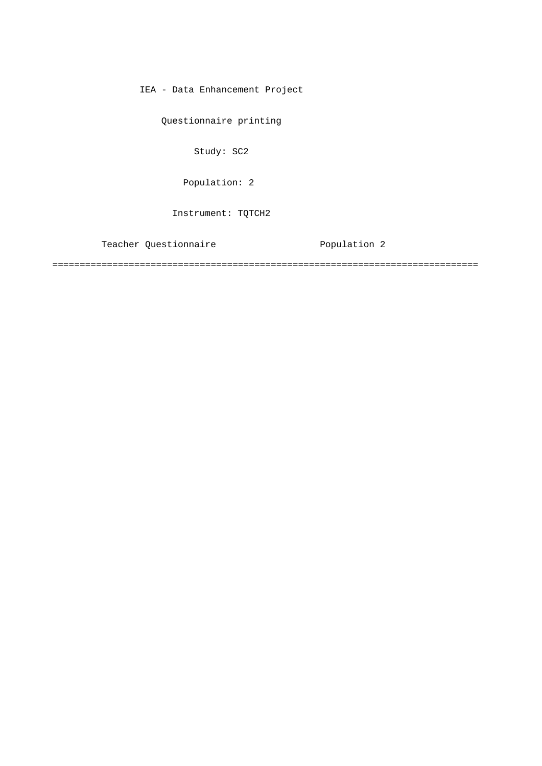IEA - Data Enhancement Project

Questionnaire printing

Study: SC2

Population: 2

Instrument: TQTCH2

Teacher Questionnaire **Population** 2

==============================================================================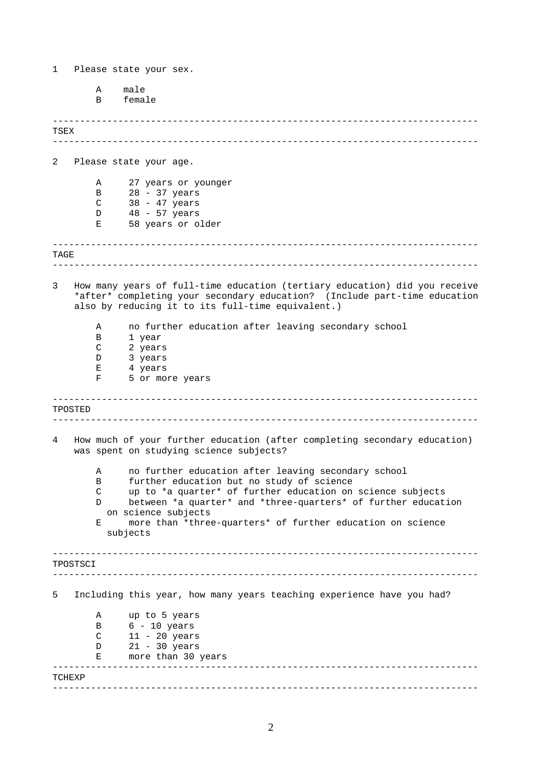------------------------------------------------------------------------------ ------------------------------------------------------------------------------ ------------------------------------------------------------------------------ ------------------------------------------------------------------------------ ------------------------------------------------------------------------------ ------------------------------------------------------------------------------ 1 Please state your sex. A male B female TSEX 2 Please state your age. A 27 years or younger B 28 - 37 years C 38 - 47 years D 48 - 57 years E 58 years or older TAGE 3 How many years of full-time education (tertiary education) did you receive \*after\* completing your secondary education? (Include part-time education also by reducing it to its full-time equivalent.) A no further education after leaving secondary school B 1 year C 2 years D 3 years E 4 years F 5 or more years TPOSTED 4 How much of your further education (after completing secondary education) was spent on studying science subjects? A no further education after leaving secondary school B further education but no study of science C up to \*a quarter\* of further education on science subjects D between \*a quarter\* and \*three-quarters\* of further education on science subjects

> E more than \*three-quarters\* of further education on science subjects

------------------------------------------------------------------------------ ------------------------------------------------------------------------------ ------------------------------------------------------------------------------ TPOSTSCI 5 Including this year, how many years teaching experience have you had? A up to 5 years B 6 - 10 years C 11 - 20 years D 21 - 30 years<br>E more than 30 more than 30 years

------------------------------------------------------------------------------ TCHEXP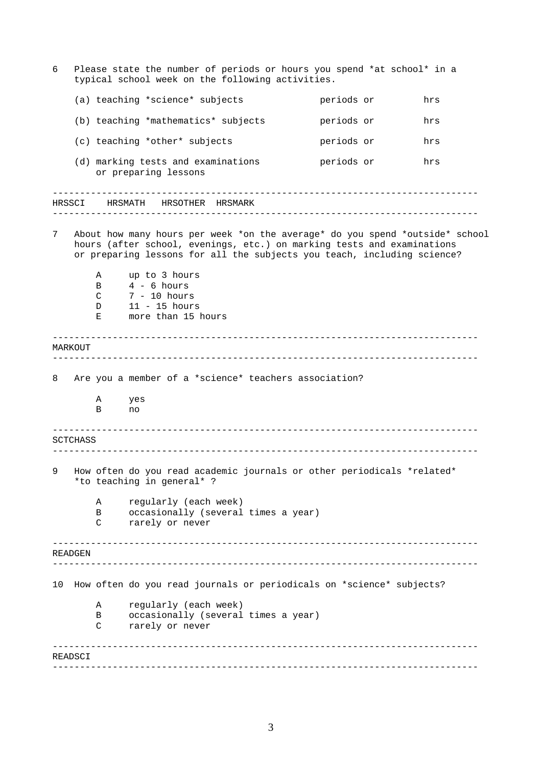------------------------------------------------------------------------------ ------------------------------------------------------------------------------ ------------------------------------------------------------------------------ ------------------------------------------------------------------------------ ------------------------------------------------------------------------------ ------------------------------------------------------------------------------ ------------------------------------------------------------------------------ ------------------------------------------------------------------------------ ------------------------------------------------------------------------------ ------------------------------------------------------------------------------ 6 Please state the number of periods or hours you spend \*at school\* in a typical school week on the following activities. (a) teaching \*science\* subjects periods or hrs (b) teaching \*mathematics\* subjects periods or hrs (c) teaching \*other\* subjects periods or hrs (d) marking tests and examinations periods or hrs or preparing lessons HRSMATH HRSOTHER HRSMARK 7 About how many hours per week \*on the average\* do you spend \*outside\* school hours (after school, evenings, etc.) on marking tests and examinations or preparing lessons for all the subjects you teach, including science? A up to 3 hours B 4 - 6 hours C 7 - 10 hours D 11 - 15 hours E more than 15 hours MARKOUT 8 Are you a member of a \*science\* teachers association? A yes B no SCTCHASS 9 How often do you read academic journals or other periodicals \*related\* \*to teaching in general\* ? A regularly (each week) B occasionally (several times a year) C rarely or never READGEN 10 How often do you read journals or periodicals on \*science\* subjects? A regularly (each week) B occasionally (several times a year) C rarely or never READSCI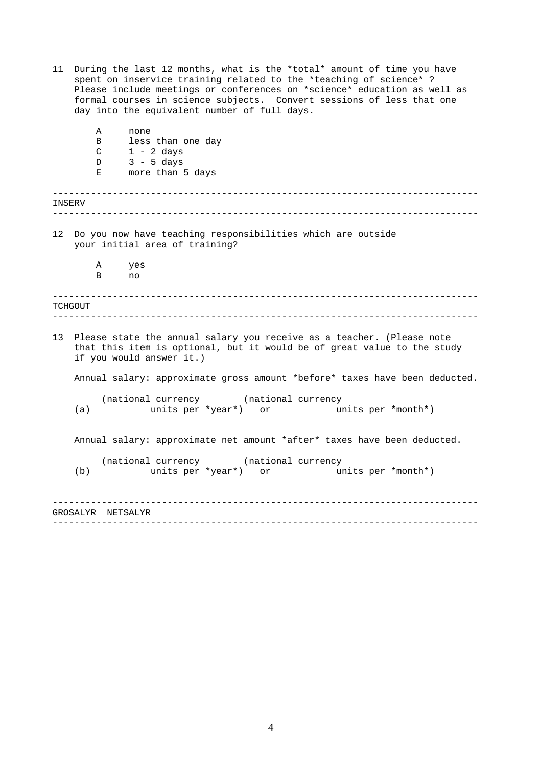11 During the last 12 months, what is the \*total\* amount of time you have spent on inservice training related to the \*teaching of science\* ? Please include meetings or conferences on \*science\* education as well as formal courses in science subjects. Convert sessions of less that one day into the equivalent number of full days.

| less than one day<br>B<br>$1 - 2$ days<br>$\mathcal{C}$<br>$3 - 5 \text{ days}$<br>D<br>more than 5 days<br>Е<br>INSERV<br>12 Do you now have teaching responsibilities which are outside<br>your initial area of training?<br>Α<br>yes<br>B<br>no<br>TCHGOUT<br>13 <sup>7</sup><br>Please state the annual salary you receive as a teacher. (Please note<br>that this item is optional, but it would be of great value to the study<br>if you would answer it.)<br>Annual salary: approximate gross amount *before* taxes have been deducted.<br>(national currency (national currency<br>units per *year*) or bunits per *month*)<br>(a)<br>Annual salary: approximate net amount *after* taxes have been deducted.<br>(national currency (national currency<br>(b)<br>units per *year*) or<br>units per *month*)<br>GROSALYR NETSALYR | Α | none |  |
|------------------------------------------------------------------------------------------------------------------------------------------------------------------------------------------------------------------------------------------------------------------------------------------------------------------------------------------------------------------------------------------------------------------------------------------------------------------------------------------------------------------------------------------------------------------------------------------------------------------------------------------------------------------------------------------------------------------------------------------------------------------------------------------------------------------------------------------|---|------|--|
|                                                                                                                                                                                                                                                                                                                                                                                                                                                                                                                                                                                                                                                                                                                                                                                                                                          |   |      |  |
|                                                                                                                                                                                                                                                                                                                                                                                                                                                                                                                                                                                                                                                                                                                                                                                                                                          |   |      |  |
|                                                                                                                                                                                                                                                                                                                                                                                                                                                                                                                                                                                                                                                                                                                                                                                                                                          |   |      |  |
|                                                                                                                                                                                                                                                                                                                                                                                                                                                                                                                                                                                                                                                                                                                                                                                                                                          |   |      |  |
|                                                                                                                                                                                                                                                                                                                                                                                                                                                                                                                                                                                                                                                                                                                                                                                                                                          |   |      |  |
|                                                                                                                                                                                                                                                                                                                                                                                                                                                                                                                                                                                                                                                                                                                                                                                                                                          |   |      |  |
|                                                                                                                                                                                                                                                                                                                                                                                                                                                                                                                                                                                                                                                                                                                                                                                                                                          |   |      |  |
|                                                                                                                                                                                                                                                                                                                                                                                                                                                                                                                                                                                                                                                                                                                                                                                                                                          |   |      |  |
|                                                                                                                                                                                                                                                                                                                                                                                                                                                                                                                                                                                                                                                                                                                                                                                                                                          |   |      |  |
|                                                                                                                                                                                                                                                                                                                                                                                                                                                                                                                                                                                                                                                                                                                                                                                                                                          |   |      |  |
|                                                                                                                                                                                                                                                                                                                                                                                                                                                                                                                                                                                                                                                                                                                                                                                                                                          |   |      |  |
|                                                                                                                                                                                                                                                                                                                                                                                                                                                                                                                                                                                                                                                                                                                                                                                                                                          |   |      |  |
|                                                                                                                                                                                                                                                                                                                                                                                                                                                                                                                                                                                                                                                                                                                                                                                                                                          |   |      |  |
|                                                                                                                                                                                                                                                                                                                                                                                                                                                                                                                                                                                                                                                                                                                                                                                                                                          |   |      |  |
|                                                                                                                                                                                                                                                                                                                                                                                                                                                                                                                                                                                                                                                                                                                                                                                                                                          |   |      |  |
|                                                                                                                                                                                                                                                                                                                                                                                                                                                                                                                                                                                                                                                                                                                                                                                                                                          |   |      |  |
|                                                                                                                                                                                                                                                                                                                                                                                                                                                                                                                                                                                                                                                                                                                                                                                                                                          |   |      |  |
|                                                                                                                                                                                                                                                                                                                                                                                                                                                                                                                                                                                                                                                                                                                                                                                                                                          |   |      |  |
|                                                                                                                                                                                                                                                                                                                                                                                                                                                                                                                                                                                                                                                                                                                                                                                                                                          |   |      |  |
|                                                                                                                                                                                                                                                                                                                                                                                                                                                                                                                                                                                                                                                                                                                                                                                                                                          |   |      |  |
|                                                                                                                                                                                                                                                                                                                                                                                                                                                                                                                                                                                                                                                                                                                                                                                                                                          |   |      |  |
|                                                                                                                                                                                                                                                                                                                                                                                                                                                                                                                                                                                                                                                                                                                                                                                                                                          |   |      |  |
|                                                                                                                                                                                                                                                                                                                                                                                                                                                                                                                                                                                                                                                                                                                                                                                                                                          |   |      |  |
|                                                                                                                                                                                                                                                                                                                                                                                                                                                                                                                                                                                                                                                                                                                                                                                                                                          |   |      |  |
|                                                                                                                                                                                                                                                                                                                                                                                                                                                                                                                                                                                                                                                                                                                                                                                                                                          |   |      |  |
|                                                                                                                                                                                                                                                                                                                                                                                                                                                                                                                                                                                                                                                                                                                                                                                                                                          |   |      |  |
|                                                                                                                                                                                                                                                                                                                                                                                                                                                                                                                                                                                                                                                                                                                                                                                                                                          |   |      |  |
|                                                                                                                                                                                                                                                                                                                                                                                                                                                                                                                                                                                                                                                                                                                                                                                                                                          |   |      |  |
|                                                                                                                                                                                                                                                                                                                                                                                                                                                                                                                                                                                                                                                                                                                                                                                                                                          |   |      |  |
|                                                                                                                                                                                                                                                                                                                                                                                                                                                                                                                                                                                                                                                                                                                                                                                                                                          |   |      |  |
|                                                                                                                                                                                                                                                                                                                                                                                                                                                                                                                                                                                                                                                                                                                                                                                                                                          |   |      |  |
|                                                                                                                                                                                                                                                                                                                                                                                                                                                                                                                                                                                                                                                                                                                                                                                                                                          |   |      |  |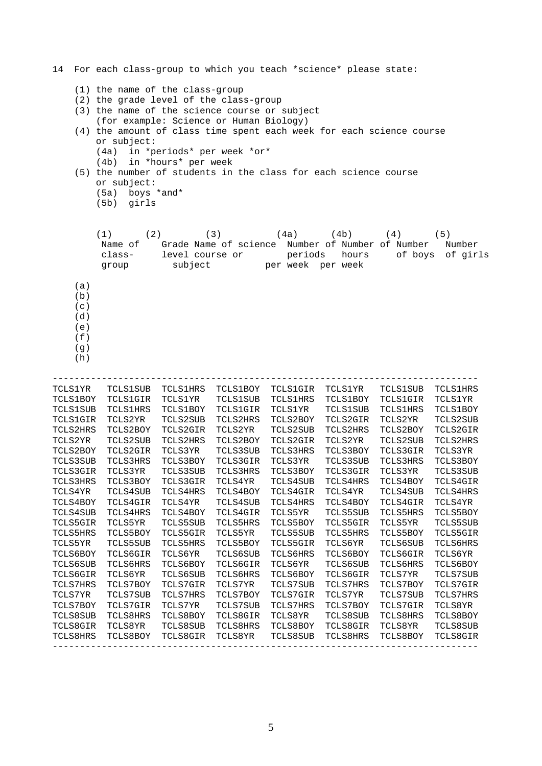------------------------------------------------------------------------------ ------------------------------------------------------------------------------ 14 For each class-group to which you teach \*science\* please state: (1) the name of the class-group (2) the grade level of the class-group (3) the name of the science course or subject (for example: Science or Human Biology) (4) the amount of class time spent each week for each science course or subject: (4a) in \*periods\* per week \*or\* (4b) in \*hours\* per week (5) the number of students in the class for each science course or subject: (5a) boys \*and\* (5b) girls (1) (2) (3) (4a) (4b) (4) (5) Name of Grade Name of science Number of Number of Number Number class- level course or periods hours of boys of girls group subject per week per week (a)  $(b)$  $(c)$ (d) (e)  $(f)$ (g) (h) TCLS1YR TCLS1SUB TCLS1HRS TCLS1BOY TCLS1GIR TCLS1YR TCLS1SUB TCLS1HRS TCLS1BOY TCLS1GIR TCLS1YR TCLS1SUB TCLS1HRS TCLS1BOY TCLS1GIR TCLS1YR TCLS1SUB TCLS1HRS TCLS1BOY TCLS1GIR TCLS1YR TCLS1SUB TCLS1HRS TCLS1BOY TCLS1GIR TCLS2YR TCLS2SUB TCLS2HRS TCLS2BOY TCLS2GIR TCLS2YR TCLS2SUB TCLS2HRS TCLS2BOY TCLS2GIR TCLS2YR TCLS2SUB TCLS2HRS TCLS2BOY TCLS2GIR TCLS2YR TCLS2SUB TCLS2HRS TCLS2BOY TCLS2GIR TCLS2YR TCLS2SUB TCLS2HRS TCLS2BOY TCLS2GIR TCLS3YR TCLS3SUB TCLS3HRS TCLS3BOY TCLS3GIR TCLS3YR TCLS3SUB TCLS3HRS TCLS3BOY TCLS3GIR TCLS3YR TCLS3SUB TCLS3HRS TCLS3BOY TCLS3GIR TCLS3YR TCLS3SUB TCLS3HRS TCLS3BOY TCLS3GIR TCLS3YR TCLS3SUB TCLS3HRS TCLS3BOY TCLS3GIR TCLS4YR TCLS4SUB TCLS4HRS TCLS4BOY TCLS4GIR TCLS4YR TCLS4SUB TCLS4HRS TCLS4BOY TCLS4GIR TCLS4YR TCLS4SUB TCLS4HRS TCLS4BOY TCLS4GIR TCLS4YR TCLS4SUB TCLS4HRS TCLS4BOY TCLS4GIR TCLS4YR TCLS4SUB TCLS4HRS TCLS4BOY TCLS4GIR TCLS5YR TCLS5SUB TCLS5HRS TCLS5BOY TCLS5GIR TCLS5YR TCLS5SUB TCLS5HRS TCLS5BOY TCLS5GIR TCLS5YR TCLS5SUB TCLS5HRS TCLS5BOY TCLS5GIR TCLS5YR TCLS5SUB TCLS5HRS TCLS5BOY TCLS5GIR TCLS5YR TCLS5SUB TCLS5HRS TCLS5BOY TCLS5GIR TCLS6YR TCLS6SUB TCLS6HRS TCLS6BOY TCLS6GIR TCLS6YR TCLS6SUB TCLS6HRS TCLS6BOY TCLS6GIR TCLS6YR TCLS6SUB TCLS6HRS TCLS6BOY TCLS6GIR TCLS6YR TCLS6SUB TCLS6HRS TCLS6BOY TCLS6GIR TCLS6YR TCLS6SUB TCLS6HRS TCLS6BOY TCLS6GIR TCLS7YR TCLS7SUB TCLS7HRS TCLS7BOY TCLS7GIR TCLS7YR TCLS7SUB TCLS7HRS TCLS7BOY TCLS7GIR TCLS7YR TCLS7SUB TCLS7HRS TCLS7BOY TCLS7GIR TCLS7YR TCLS7SUB TCLS7HRS TCLS7BOY TCLS7GIR TCLS7YR TCLS7SUB TCLS7HRS TCLS7BOY TCLS7GIR TCLS8YR TCLS8SUB TCLS8HRS TCLS8BOY TCLS8GIR TCLS8YR TCLS8SUB TCLS8HRS TCLS8BOY TCLS8GIR TCLS8YR TCLS8SUB TCLS8HRS TCLS8BOY TCLS8GIR TCLS8YR TCLS8SUB TCLS8HRS TCLS8BOY TCLS8GIR TCLS8YR TCLS8SUB TCLS8HRS TCLS8BOY TCLS8GIR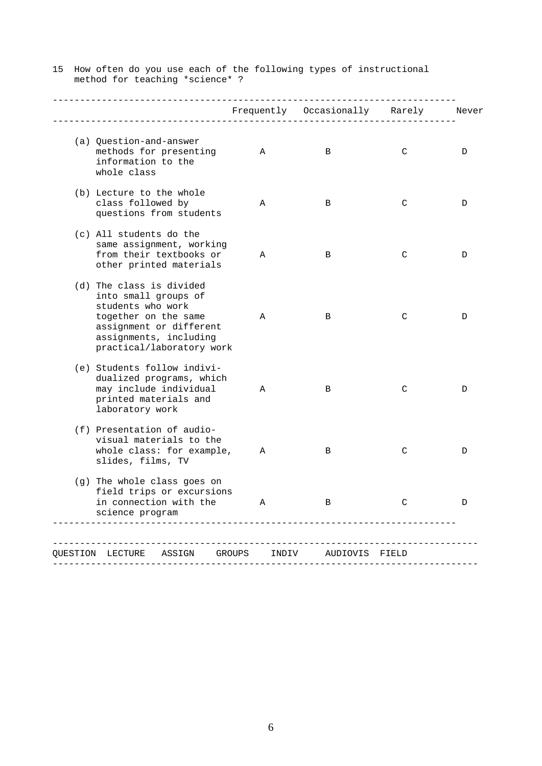|                                                                                                                                                                                 |       | ___________<br>Frequently Occasionally Rarely Never |   |   |
|---------------------------------------------------------------------------------------------------------------------------------------------------------------------------------|-------|-----------------------------------------------------|---|---|
| (a) Question-and-answer<br>methods for presenting<br>information to the<br>whole class                                                                                          | A     | B                                                   | C | D |
| (b) Lecture to the whole<br>class followed by<br>questions from students                                                                                                        | Α     | B                                                   | C | D |
| (c) All students do the<br>same assignment, working<br>from their textbooks or<br>other printed materials                                                                       | Α     | B                                                   | C | D |
| (d) The class is divided<br>into small groups of<br>students who work<br>together on the same<br>assignment or different<br>assignments, including<br>practical/laboratory work | Α     | B                                                   | C | D |
| (e) Students follow indivi-<br>dualized programs, which<br>may include individual<br>printed materials and<br>laboratory work                                                   | Α     | B                                                   | C | D |
| (f) Presentation of audio-<br>visual materials to the<br>whole class: for example,<br>slides, films, TV                                                                         | Α     | B                                                   | C | D |
| (g) The whole class goes on<br>field trips or excursions<br>in connection with the<br>science program                                                                           | Α     | B                                                   | C | D |
| OUESTION LECTURE ASSIGN GROUPS                                                                                                                                                  | INDIV | AUDIOVIS FIELD                                      |   |   |

15 How often do you use each of the following types of instructional method for teaching \*science\* ?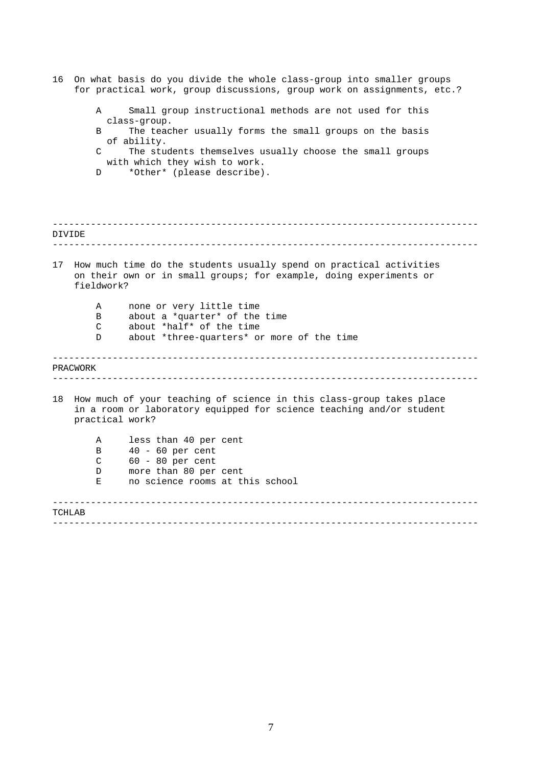| 16     | On what basis do you divide the whole class-group into smaller groups<br>for practical work, group discussions, group work on assignments, etc.?                |
|--------|-----------------------------------------------------------------------------------------------------------------------------------------------------------------|
|        | Small group instructional methods are not used for this<br>A<br>class-group.                                                                                    |
|        | The teacher usually forms the small groups on the basis<br>B                                                                                                    |
|        | of ability.<br>The students themselves usually choose the small groups<br>C<br>with which they wish to work.                                                    |
|        | *Other* (please describe).<br>D                                                                                                                                 |
| DIVIDE |                                                                                                                                                                 |
|        |                                                                                                                                                                 |
| 17     | How much time do the students usually spend on practical activities<br>on their own or in small groups; for example, doing experiments or<br>fieldwork?         |
|        | none or very little time<br>Α<br>about a *quarter* of the time<br><sub>B</sub>                                                                                  |
|        | about *half* of the time<br>C<br>about *three-quarters* or more of the time<br>D                                                                                |
|        | PRACWORK                                                                                                                                                        |
| 18     | How much of your teaching of science in this class-group takes place<br>in a room or laboratory equipped for science teaching and/or student<br>practical work? |
|        | less than 40 per cent<br>Α                                                                                                                                      |
|        | $40 - 60$ per cent<br>B                                                                                                                                         |
|        | $60 - 80$ per cent<br>C<br>more than 80 per cent<br>D                                                                                                           |
|        | no science rooms at this school<br>Е                                                                                                                            |
| TCHLAB |                                                                                                                                                                 |
|        |                                                                                                                                                                 |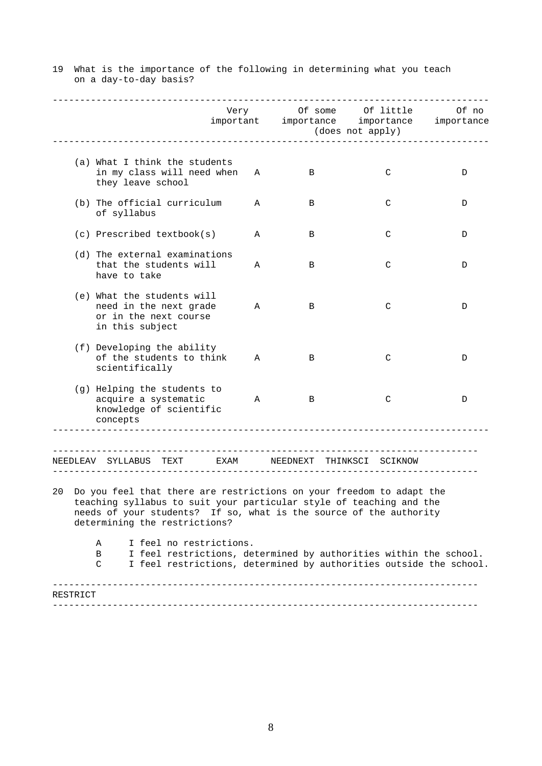| (a) What I think the students<br>in my class will need when<br>C<br>A<br>B<br>D<br>they leave school<br>(b) The official curriculum<br>A<br>B<br>C<br>D<br>of syllabus<br>$(c)$ Prescribed textbook(s)<br>C<br>Α<br>B<br>D<br>(d) The external examinations<br>that the students will<br>C<br>Α<br>B<br>D<br>have to take<br>(e) What the students will<br>need in the next grade<br>C<br>Α<br>В<br>D<br>or in the next course<br>in this subject<br>(f) Developing the ability<br>of the students to think<br>C<br>A<br>B<br>D<br>scientifically<br>(g) Helping the students to<br>acquire a systematic<br>$\mathsf{C}$<br>Α<br>B<br>D<br>knowledge of scientific<br>concepts<br>---------------------<br>NEEDLEAV SYLLABUS TEXT   EXAM   NEEDNEXT THINKSCI SCIKNOW<br>20 Do you feel that there are restrictions on your freedom to adapt the<br>teaching syllabus to suit your particular style of teaching and the<br>needs of your students? If so, what is the source of the authority<br>determining the restrictions?<br>I feel no restrictions.<br>Α<br>I feel restrictions, determined by authorities within the school.<br>B<br>I feel restrictions, determined by authorities outside the school.<br>C<br>RESTRICT |  | Very | (does not apply) | Of some Of little<br>important importance importance | Of no<br>importance |
|--------------------------------------------------------------------------------------------------------------------------------------------------------------------------------------------------------------------------------------------------------------------------------------------------------------------------------------------------------------------------------------------------------------------------------------------------------------------------------------------------------------------------------------------------------------------------------------------------------------------------------------------------------------------------------------------------------------------------------------------------------------------------------------------------------------------------------------------------------------------------------------------------------------------------------------------------------------------------------------------------------------------------------------------------------------------------------------------------------------------------------------------------------------------------------------------------------------------------------|--|------|------------------|------------------------------------------------------|---------------------|
|                                                                                                                                                                                                                                                                                                                                                                                                                                                                                                                                                                                                                                                                                                                                                                                                                                                                                                                                                                                                                                                                                                                                                                                                                                |  |      |                  |                                                      |                     |
|                                                                                                                                                                                                                                                                                                                                                                                                                                                                                                                                                                                                                                                                                                                                                                                                                                                                                                                                                                                                                                                                                                                                                                                                                                |  |      |                  |                                                      |                     |
|                                                                                                                                                                                                                                                                                                                                                                                                                                                                                                                                                                                                                                                                                                                                                                                                                                                                                                                                                                                                                                                                                                                                                                                                                                |  |      |                  |                                                      |                     |
|                                                                                                                                                                                                                                                                                                                                                                                                                                                                                                                                                                                                                                                                                                                                                                                                                                                                                                                                                                                                                                                                                                                                                                                                                                |  |      |                  |                                                      |                     |
|                                                                                                                                                                                                                                                                                                                                                                                                                                                                                                                                                                                                                                                                                                                                                                                                                                                                                                                                                                                                                                                                                                                                                                                                                                |  |      |                  |                                                      |                     |
|                                                                                                                                                                                                                                                                                                                                                                                                                                                                                                                                                                                                                                                                                                                                                                                                                                                                                                                                                                                                                                                                                                                                                                                                                                |  |      |                  |                                                      |                     |
|                                                                                                                                                                                                                                                                                                                                                                                                                                                                                                                                                                                                                                                                                                                                                                                                                                                                                                                                                                                                                                                                                                                                                                                                                                |  |      |                  |                                                      |                     |
|                                                                                                                                                                                                                                                                                                                                                                                                                                                                                                                                                                                                                                                                                                                                                                                                                                                                                                                                                                                                                                                                                                                                                                                                                                |  |      |                  |                                                      |                     |
|                                                                                                                                                                                                                                                                                                                                                                                                                                                                                                                                                                                                                                                                                                                                                                                                                                                                                                                                                                                                                                                                                                                                                                                                                                |  |      |                  |                                                      |                     |
|                                                                                                                                                                                                                                                                                                                                                                                                                                                                                                                                                                                                                                                                                                                                                                                                                                                                                                                                                                                                                                                                                                                                                                                                                                |  |      |                  |                                                      |                     |

19 What is the importance of the following in determining what you teach on a day-to-day basis?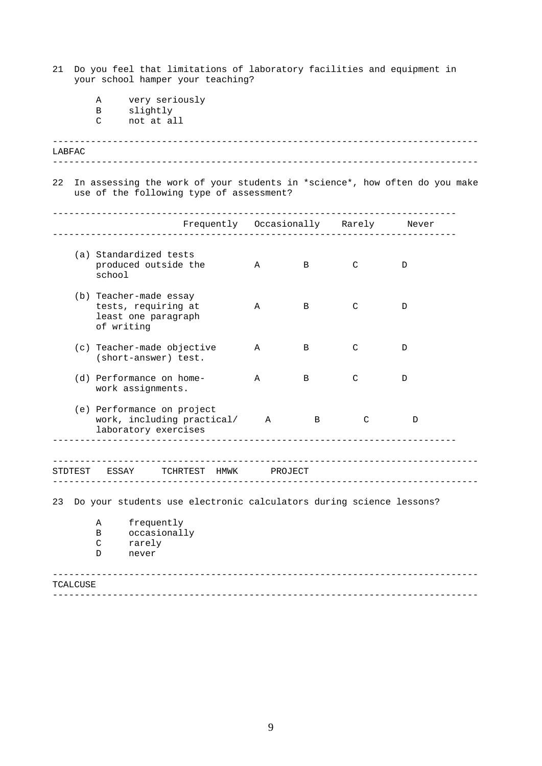- 21 Do you feel that limitations of laboratory facilities and equipment in your school hamper your teaching?
	- A very seriously
	- B slightly<br>C not at al
	- not at all

| LABFAC |  |
|--------|--|
|        |  |

22 In assessing the work of your students in \*science\*, how often do you make use of the following type of assessment?

|         | Frequently Occasionally Rarely                                                     |              |                |               | Never         |
|---------|------------------------------------------------------------------------------------|--------------|----------------|---------------|---------------|
|         | (a) Standardized tests<br>produced outside the<br>school                           | $\mathbb{A}$ | B              | $\mathcal{C}$ | $\mathcal{D}$ |
|         | (b) Teacher-made essay<br>tests, requiring at<br>least one paragraph<br>of writing | A            | B              | $\mathcal{C}$ | $\mathcal{D}$ |
|         | (c) Teacher-made objective<br>(short-answer) test.                                 | $\mathbf{A}$ | $\overline{B}$ | $\mathcal{C}$ | $\mathcal{D}$ |
|         | (d) Performance on home-<br>work assignments.                                      | $\mathbf{A}$ | $\overline{B}$ | $\mathcal{C}$ | $\mathcal{D}$ |
|         | (e) Performance on project<br>work, including practical/ A<br>laboratory exercises |              | B              | C             | D             |
| STDTEST | TCHRTEST<br>ESSAY<br>HMWK                                                          |              | PROJECT        |               |               |

23 Do your students use electronic calculators during science lessons?

| A | frequently   |
|---|--------------|
| B | occasionally |
| C | rarely       |
| D | never        |

## ------------------------------------------------------------------------------ ------------------------------------------------------------------------------ TCALCUSE